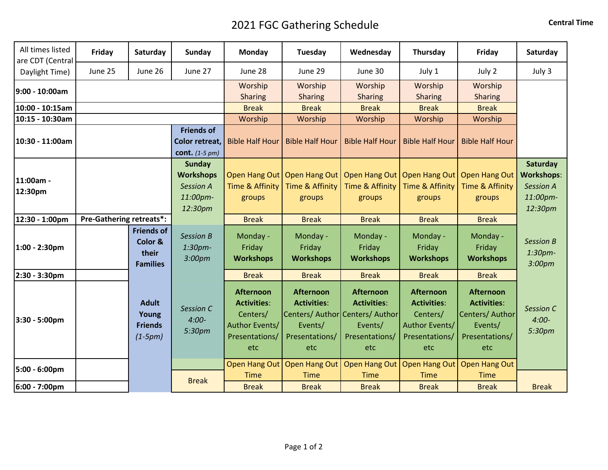## 2021 FGC Gathering Schedule **CENTER SCHEDULE SCHEDULE CENTER** Central Time

| All times listed<br>are CDT (Central | Friday                          | Saturday                                                 | Sunday                                                                       | Monday                                                                                 | Tuesday                                                                    | Wednesday                                                                                                     | Thursday                                                                                      | Friday                                                                                        | Saturday                                                                 |
|--------------------------------------|---------------------------------|----------------------------------------------------------|------------------------------------------------------------------------------|----------------------------------------------------------------------------------------|----------------------------------------------------------------------------|---------------------------------------------------------------------------------------------------------------|-----------------------------------------------------------------------------------------------|-----------------------------------------------------------------------------------------------|--------------------------------------------------------------------------|
| Daylight Time)                       | June 25                         | June 26                                                  | June 27                                                                      | June 28                                                                                | June 29                                                                    | June 30                                                                                                       | July 1                                                                                        | July 2                                                                                        | July 3                                                                   |
| 9:00 - 10:00am                       |                                 |                                                          |                                                                              | Worship<br>Sharing                                                                     | Worship<br><b>Sharing</b>                                                  | Worship<br><b>Sharing</b>                                                                                     | Worship<br>Sharing                                                                            | Worship<br><b>Sharing</b>                                                                     |                                                                          |
| 10:00 - 10:15am                      |                                 |                                                          |                                                                              | <b>Break</b>                                                                           | <b>Break</b>                                                               | <b>Break</b>                                                                                                  | <b>Break</b>                                                                                  | <b>Break</b>                                                                                  |                                                                          |
| 10:15 - 10:30am                      |                                 |                                                          |                                                                              | Worship                                                                                | Worship                                                                    | Worship                                                                                                       | Worship                                                                                       | Worship                                                                                       |                                                                          |
| 10:30 - 11:00am                      |                                 |                                                          | <b>Friends of</b><br>Color retreat,<br>cont. $(1-5 pm)$                      | <b>Bible Half Hour</b>                                                                 | <b>Bible Half Hour</b>                                                     | <b>Bible Half Hour</b>                                                                                        | <b>Bible Half Hour</b>                                                                        | <b>Bible Half Hour</b>                                                                        |                                                                          |
| 11:00am -<br>12:30pm                 |                                 |                                                          | <b>Sunday</b><br><b>Workshops</b><br><b>Session A</b><br>11:00pm-<br>12:30pm | Open Hang Out<br>Time & Affinity<br>groups                                             | <b>Open Hang Out</b><br>Time & Affinity<br>groups                          | Open Hang Out<br><b>Time &amp; Affinity</b><br>groups                                                         | Time & Affinity<br>groups                                                                     | Open Hang Out   Open Hang Out<br>Time & Affinity<br>groups                                    | Saturday<br><b>Workshops:</b><br><b>Session A</b><br>11:00pm-<br>12:30pm |
| 12:30 - 1:00pm                       | <b>Pre-Gathering retreats*:</b> |                                                          |                                                                              | <b>Break</b>                                                                           | <b>Break</b>                                                               | <b>Break</b>                                                                                                  | <b>Break</b>                                                                                  | <b>Break</b>                                                                                  |                                                                          |
| 1:00 - 2:30pm                        |                                 | <b>Friends of</b><br>Color &<br>their<br><b>Families</b> | <b>Session B</b><br>1:30 <sub>pm</sub><br>3:00pm                             | Monday -<br>Friday<br><b>Workshops</b>                                                 | Monday -<br>Friday<br><b>Workshops</b>                                     | Monday -<br>Friday<br><b>Workshops</b>                                                                        | Monday -<br>Friday<br><b>Workshops</b>                                                        | Monday -<br>Friday<br><b>Workshops</b>                                                        | <b>Session B</b><br>1:30pm-<br>3:00pm                                    |
| 2:30 - 3:30pm                        |                                 |                                                          |                                                                              | <b>Break</b>                                                                           | <b>Break</b>                                                               | <b>Break</b>                                                                                                  | <b>Break</b>                                                                                  | <b>Break</b>                                                                                  |                                                                          |
| 3:30 - 5:00pm                        |                                 | <b>Adult</b><br>Young<br><b>Friends</b><br>$(1-5pm)$     | <b>Session C</b><br>$4:00-$<br>5:30pm                                        | Afternoon<br><b>Activities:</b><br>Centers/<br>Author Events/<br>Presentations/<br>etc | <b>Afternoon</b><br><b>Activities:</b><br>Events/<br>Presentations/<br>etc | <b>Afternoon</b><br><b>Activities:</b><br>Centers/ Author Centers/ Author<br>Events/<br>Presentations/<br>etc | <b>Afternoon</b><br><b>Activities:</b><br>Centers/<br>Author Events/<br>Presentations/<br>etc | <b>Afternoon</b><br><b>Activities:</b><br>Centers/ Author<br>Events/<br>Presentations/<br>etc | Session C<br>$4:00-$<br>5:30pm                                           |
| 5:00 - 6:00pm                        |                                 |                                                          |                                                                              | Open Hang Out                                                                          | <b>Open Hang Out</b>                                                       | Open Hang Out                                                                                                 |                                                                                               | Open Hang Out   Open Hang Out                                                                 |                                                                          |
| 6:00 - 7:00pm                        |                                 |                                                          | <b>Break</b>                                                                 | <b>Time</b><br><b>Break</b>                                                            | <b>Time</b><br><b>Break</b>                                                | <b>Time</b><br><b>Break</b>                                                                                   | <b>Time</b><br><b>Break</b>                                                                   | <b>Time</b><br><b>Break</b>                                                                   | <b>Break</b>                                                             |